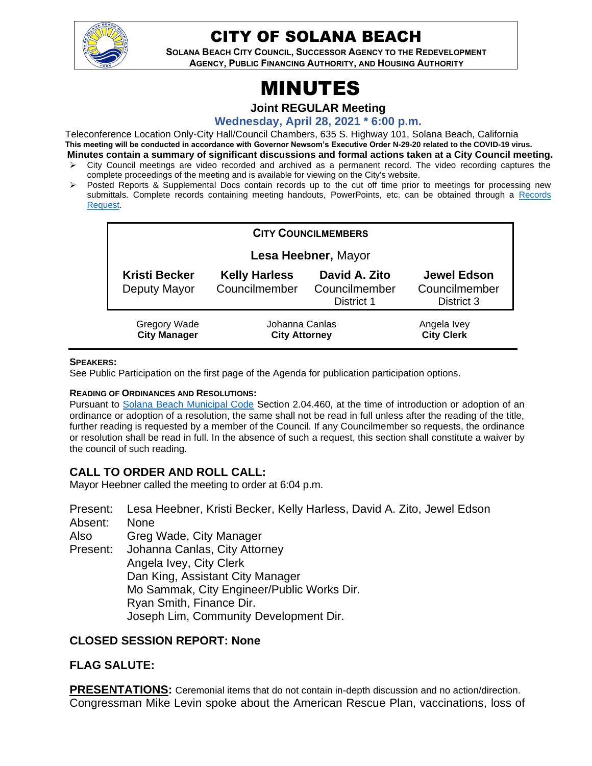

# CITY OF SOLANA BEACH

**SOLANA BEACH CITY COUNCIL, SUCCESSOR AGENCY TO THE REDEVELOPMENT AGENCY, PUBLIC FINANCING AUTHORITY, AND HOUSING AUTHORITY** 

# MINUTES

**Joint REGULAR Meeting**

**Wednesday, April 28, 2021 \* 6:00 p.m.**

Teleconference Location Only-City Hall/Council Chambers, 635 S. Highway 101, Solana Beach, California **This meeting will be conducted in accordance with Governor Newsom's Executive Order N-29-20 related to the COVID-19 virus. Minutes contain a summary of significant discussions and formal actions taken at a City Council meeting.**

- City Council meetings are video recorded and archived as a permanent record. The video recording captures the complete proceedings of the meeting and is available for viewing on the City's website.
- ➢ Posted Reports & Supplemental Docs contain records up to the cut off time prior to meetings for processing new submittals. Complete records containing meeting handouts, PowerPoints, etc. can be obtained through a Records [Request.](http://www.ci.solana-beach.ca.us/index.asp?SEC=F5D45D10-70CE-4291-A27C-7BD633FC6742&Type=B_BASIC)

| <b>CITY COUNCILMEMBERS</b>                 |                                        |                                              |                                                   |
|--------------------------------------------|----------------------------------------|----------------------------------------------|---------------------------------------------------|
| Lesa Heebner, Mayor                        |                                        |                                              |                                                   |
| <b>Kristi Becker</b><br>Deputy Mayor       | <b>Kelly Harless</b><br>Councilmember  | David A. Zito<br>Councilmember<br>District 1 | <b>Jewel Edson</b><br>Councilmember<br>District 3 |
| <b>Gregory Wade</b><br><b>City Manager</b> | Johanna Canlas<br><b>City Attorney</b> |                                              | Angela Ivey<br><b>City Clerk</b>                  |

#### **SPEAKERS:**

See Public Participation on the first page of the Agenda for publication participation options.

#### **READING OF ORDINANCES AND RESOLUTIONS:**

Pursuant to [Solana Beach Municipal Code](https://www.codepublishing.com/CA/SolanaBeach/) Section 2.04.460, at the time of introduction or adoption of an ordinance or adoption of a resolution, the same shall not be read in full unless after the reading of the title, further reading is requested by a member of the Council. If any Councilmember so requests, the ordinance or resolution shall be read in full. In the absence of such a request, this section shall constitute a waiver by the council of such reading.

# **CALL TO ORDER AND ROLL CALL:**

Mayor Heebner called the meeting to order at 6:04 p.m.

Present: Lesa Heebner, Kristi Becker, Kelly Harless, David A. Zito, Jewel Edson Absent: None Also Present: Greg Wade, City Manager Johanna Canlas, City Attorney Angela Ivey, City Clerk Dan King, Assistant City Manager Mo Sammak, City Engineer/Public Works Dir. Ryan Smith, Finance Dir. Joseph Lim, Community Development Dir.

# **CLOSED SESSION REPORT: None**

# **FLAG SALUTE:**

**PRESENTATIONS:** Ceremonial items that do not contain in-depth discussion and no action/direction. Congressman Mike Levin spoke about the American Rescue Plan, vaccinations, loss of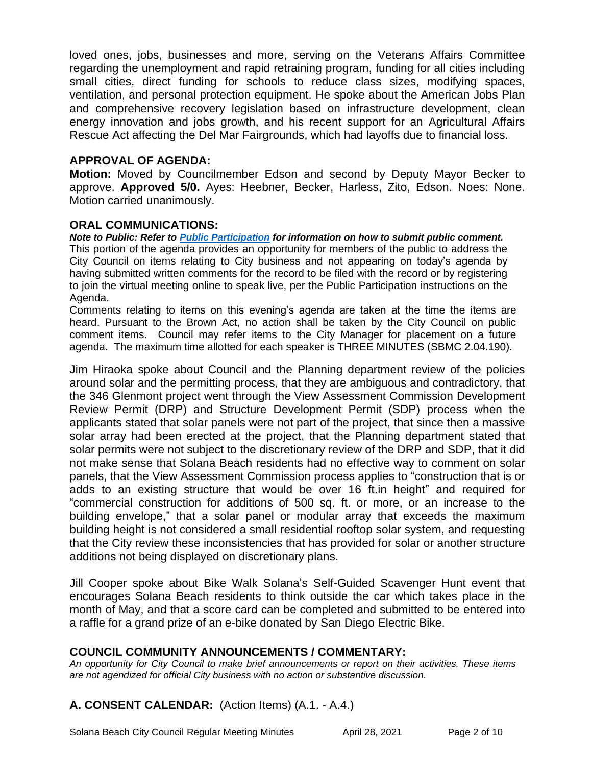loved ones, jobs, businesses and more, serving on the Veterans Affairs Committee regarding the unemployment and rapid retraining program, funding for all cities including small cities, direct funding for schools to reduce class sizes, modifying spaces, ventilation, and personal protection equipment. He spoke about the American Jobs Plan and comprehensive recovery legislation based on infrastructure development, clean energy innovation and jobs growth, and his recent support for an Agricultural Affairs Rescue Act affecting the Del Mar Fairgrounds, which had layoffs due to financial loss.

# **APPROVAL OF AGENDA:**

**Motion:** Moved by Councilmember Edson and second by Deputy Mayor Becker to approve. **Approved 5/0.** Ayes: Heebner, Becker, Harless, Zito, Edson. Noes: None. Motion carried unanimously.

#### **ORAL COMMUNICATIONS:**

*Note to Public: Refer to Public Participation for information on how to submit public comment.*  This portion of the agenda provides an opportunity for members of the public to address the City Council on items relating to City business and not appearing on today's agenda by having submitted written comments for the record to be filed with the record or by registering to join the virtual meeting online to speak live, per the Public Participation instructions on the Agenda.

Comments relating to items on this evening's agenda are taken at the time the items are heard. Pursuant to the Brown Act, no action shall be taken by the City Council on public comment items. Council may refer items to the City Manager for placement on a future agenda. The maximum time allotted for each speaker is THREE MINUTES (SBMC 2.04.190).

Jim Hiraoka spoke about Council and the Planning department review of the policies around solar and the permitting process, that they are ambiguous and contradictory, that the 346 Glenmont project went through the View Assessment Commission Development Review Permit (DRP) and Structure Development Permit (SDP) process when the applicants stated that solar panels were not part of the project, that since then a massive solar array had been erected at the project, that the Planning department stated that solar permits were not subject to the discretionary review of the DRP and SDP, that it did not make sense that Solana Beach residents had no effective way to comment on solar panels, that the View Assessment Commission process applies to "construction that is or adds to an existing structure that would be over 16 ft.in height" and required for "commercial construction for additions of 500 sq. ft. or more, or an increase to the building envelope," that a solar panel or modular array that exceeds the maximum building height is not considered a small residential rooftop solar system, and requesting that the City review these inconsistencies that has provided for solar or another structure additions not being displayed on discretionary plans.

Jill Cooper spoke about Bike Walk Solana's Self-Guided Scavenger Hunt event that encourages Solana Beach residents to think outside the car which takes place in the month of May, and that a score card can be completed and submitted to be entered into a raffle for a grand prize of an e-bike donated by San Diego Electric Bike.

# **COUNCIL COMMUNITY ANNOUNCEMENTS / COMMENTARY:**

*An opportunity for City Council to make brief announcements or report on their activities. These items are not agendized for official City business with no action or substantive discussion.* 

**A. CONSENT CALENDAR:** (Action Items) (A.1. - A.4.)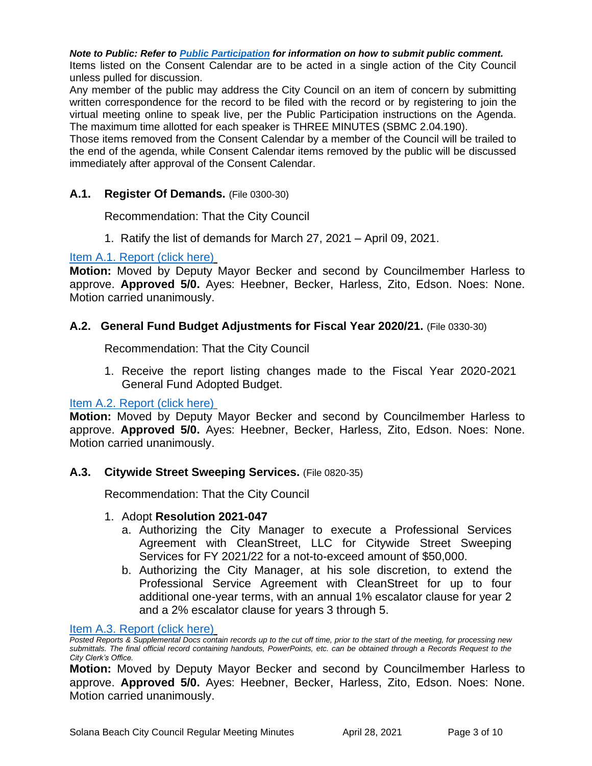#### *Note to Public: Refer to Public Participation for information on how to submit public comment.*

Items listed on the Consent Calendar are to be acted in a single action of the City Council unless pulled for discussion.

Any member of the public may address the City Council on an item of concern by submitting written correspondence for the record to be filed with the record or by registering to join the virtual meeting online to speak live, per the Public Participation instructions on the Agenda. The maximum time allotted for each speaker is THREE MINUTES (SBMC 2.04.190).

Those items removed from the Consent Calendar by a member of the Council will be trailed to the end of the agenda, while Consent Calendar items removed by the public will be discussed immediately after approval of the Consent Calendar.

#### **A.1. Register Of Demands.** (File 0300-30)

Recommendation: That the City Council

1. Ratify the list of demands for March 27, 2021 – April 09, 2021.

# [Item A.1. Report \(click here\)](https://solanabeach.govoffice3.com/vertical/Sites/%7B840804C2-F869-4904-9AE3-720581350CE7%7D/uploads/Item_A.1._Report_(click_here)_4-28-21-O.pdf)

**Motion:** Moved by Deputy Mayor Becker and second by Councilmember Harless to approve. **Approved 5/0.** Ayes: Heebner, Becker, Harless, Zito, Edson. Noes: None. Motion carried unanimously.

# **A.2. General Fund Budget Adjustments for Fiscal Year 2020/21.** (File 0330-30)

Recommendation: That the City Council

1. Receive the report listing changes made to the Fiscal Year 2020-2021 General Fund Adopted Budget.

# [Item A.2. Report \(click here\)](https://solanabeach.govoffice3.com/vertical/Sites/%7B840804C2-F869-4904-9AE3-720581350CE7%7D/uploads/Item_A.2._Report_(click_here)_4-28-21-O.pdf)

**Motion:** Moved by Deputy Mayor Becker and second by Councilmember Harless to approve. **Approved 5/0.** Ayes: Heebner, Becker, Harless, Zito, Edson. Noes: None. Motion carried unanimously.

#### **A.3. Citywide Street Sweeping Services.** (File 0820-35)

Recommendation: That the City Council

#### 1. Adopt **Resolution 2021-047**

- a. Authorizing the City Manager to execute a Professional Services Agreement with CleanStreet, LLC for Citywide Street Sweeping Services for FY 2021/22 for a not-to-exceed amount of \$50,000.
- b. Authorizing the City Manager, at his sole discretion, to extend the Professional Service Agreement with CleanStreet for up to four additional one-year terms, with an annual 1% escalator clause for year 2 and a 2% escalator clause for years 3 through 5.

#### [Item A.3. Report \(click here\)](https://solanabeach.govoffice3.com/vertical/Sites/%7B840804C2-F869-4904-9AE3-720581350CE7%7D/uploads/Item_A.3._Report_(click_here)_4-28-21-O.pdf)

*Posted Reports & Supplemental Docs contain records up to the cut off time, prior to the start of the meeting, for processing new submittals. The final official record containing handouts, PowerPoints, etc. can be obtained through a Records Request to the City Clerk's Office.*

**Motion:** Moved by Deputy Mayor Becker and second by Councilmember Harless to approve. **Approved 5/0.** Ayes: Heebner, Becker, Harless, Zito, Edson. Noes: None. Motion carried unanimously.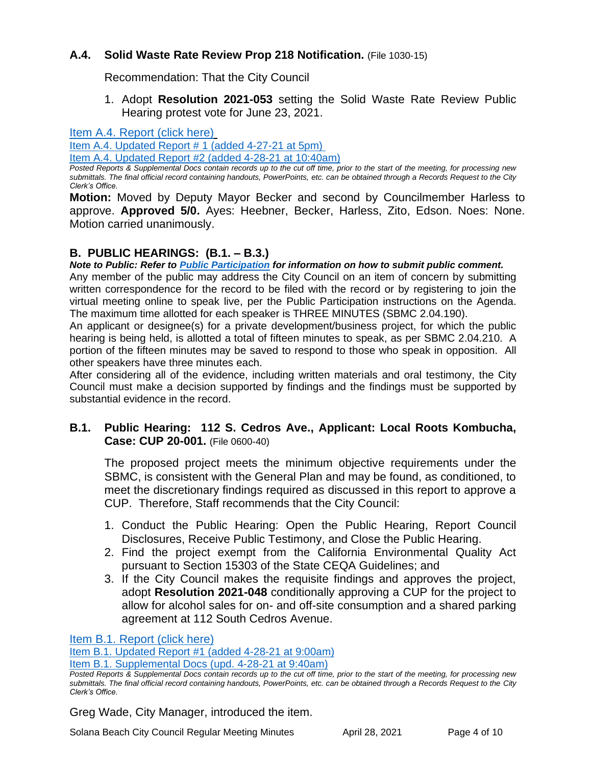# **A.4. Solid Waste Rate Review Prop 218 Notification.** (File 1030-15)

Recommendation: That the City Council

1. Adopt **Resolution 2021-053** setting the Solid Waste Rate Review Public Hearing protest vote for June 23, 2021.

[Item A.4. Report \(click here\)](https://solanabeach.govoffice3.com/vertical/Sites/%7B840804C2-F869-4904-9AE3-720581350CE7%7D/uploads/Item_A.4._Report_(click_here)_4-28-21-O.pdf)

[Item A.4. Updated Report](https://solanabeach.govoffice3.com/vertical/Sites/%7B840804C2-F869-4904-9AE3-720581350CE7%7D/uploads/Item_A.4._Staff_Report_Update_1.pdf) # 1 (added 4-27-21 at 5pm)

[Item A.4. Updated Report #2 \(added 4-28-21](https://solanabeach.govoffice3.com/vertical/Sites/%7B840804C2-F869-4904-9AE3-720581350CE7%7D/uploads/Item_A.4._Staff_Report_Update_2_-_O.pdf) at 10:40am)

*Posted Reports & Supplemental Docs contain records up to the cut off time, prior to the start of the meeting, for processing new submittals. The final official record containing handouts, PowerPoints, etc. can be obtained through a Records Request to the City Clerk's Office.*

**Motion:** Moved by Deputy Mayor Becker and second by Councilmember Harless to approve. **Approved 5/0.** Ayes: Heebner, Becker, Harless, Zito, Edson. Noes: None. Motion carried unanimously.

# **B. PUBLIC HEARINGS: (B.1. – B.3.)**

*Note to Public: Refer to Public Participation for information on how to submit public comment.*  Any member of the public may address the City Council on an item of concern by submitting written correspondence for the record to be filed with the record or by registering to join the virtual meeting online to speak live, per the Public Participation instructions on the Agenda.

The maximum time allotted for each speaker is THREE MINUTES (SBMC 2.04.190).

An applicant or designee(s) for a private development/business project, for which the public hearing is being held, is allotted a total of fifteen minutes to speak, as per SBMC 2.04.210. A portion of the fifteen minutes may be saved to respond to those who speak in opposition. All other speakers have three minutes each.

After considering all of the evidence, including written materials and oral testimony, the City Council must make a decision supported by findings and the findings must be supported by substantial evidence in the record.

**B.1. Public Hearing: 112 S. Cedros Ave., Applicant: Local Roots Kombucha, Case: CUP 20-001.** (File 0600-40)

The proposed project meets the minimum objective requirements under the SBMC, is consistent with the General Plan and may be found, as conditioned, to meet the discretionary findings required as discussed in this report to approve a CUP. Therefore, Staff recommends that the City Council:

- 1. Conduct the Public Hearing: Open the Public Hearing, Report Council Disclosures, Receive Public Testimony, and Close the Public Hearing.
- 2. Find the project exempt from the California Environmental Quality Act pursuant to Section 15303 of the State CEQA Guidelines; and
- 3. If the City Council makes the requisite findings and approves the project, adopt **Resolution 2021-048** conditionally approving a CUP for the project to allow for alcohol sales for on- and off-site consumption and a shared parking agreement at 112 South Cedros Avenue.

[Item B.1. Report \(click](https://solanabeach.govoffice3.com/vertical/Sites/%7B840804C2-F869-4904-9AE3-720581350CE7%7D/uploads/Item_B.1._Report_(click_here)_4-28-21-O.pdf) here)

[Item B.1. Updated Report #1 \(added 4-28-21 at 9:00am\)](https://solanabeach.govoffice3.com/vertical/Sites/%7B840804C2-F869-4904-9AE3-720581350CE7%7D/uploads/Item_B.1._Updated_Report_1_(4-28_845am)_-_O.pdf)

[Item B.1. Supplemental Docs \(upd.](https://solanabeach.govoffice3.com/vertical/Sites/%7B840804C2-F869-4904-9AE3-720581350CE7%7D/uploads/Item_B.1._Supplemental_Docs_(upd._4-28_at_940am)_-_O.pdf) 4-28-21 at 9:40am)

Greg Wade, City Manager, introduced the item.

*Posted Reports & Supplemental Docs contain records up to the cut off time, prior to the start of the meeting, for processing new submittals. The final official record containing handouts, PowerPoints, etc. can be obtained through a Records Request to the City Clerk's Office.*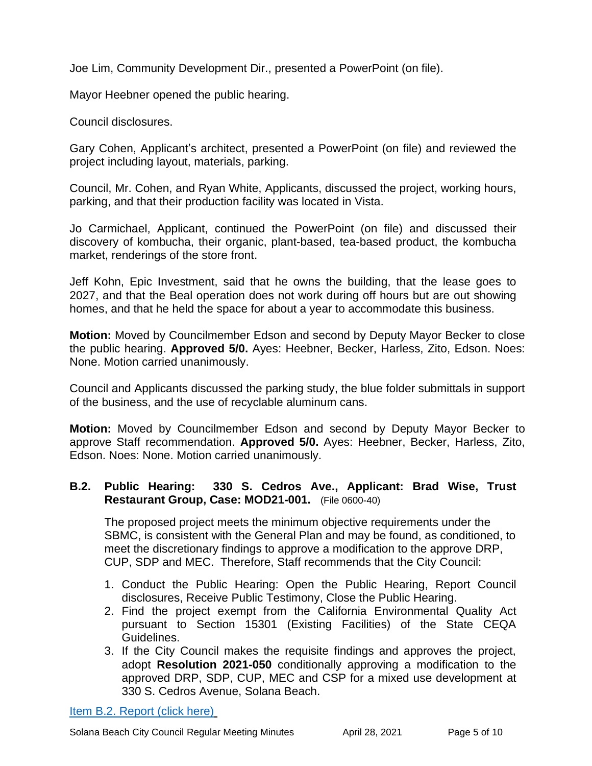Joe Lim, Community Development Dir., presented a PowerPoint (on file).

Mayor Heebner opened the public hearing.

Council disclosures.

Gary Cohen, Applicant's architect, presented a PowerPoint (on file) and reviewed the project including layout, materials, parking.

Council, Mr. Cohen, and Ryan White, Applicants, discussed the project, working hours, parking, and that their production facility was located in Vista.

Jo Carmichael, Applicant, continued the PowerPoint (on file) and discussed their discovery of kombucha, their organic, plant-based, tea-based product, the kombucha market, renderings of the store front.

Jeff Kohn, Epic Investment, said that he owns the building, that the lease goes to 2027, and that the Beal operation does not work during off hours but are out showing homes, and that he held the space for about a year to accommodate this business.

**Motion:** Moved by Councilmember Edson and second by Deputy Mayor Becker to close the public hearing. **Approved 5/0.** Ayes: Heebner, Becker, Harless, Zito, Edson. Noes: None. Motion carried unanimously.

Council and Applicants discussed the parking study, the blue folder submittals in support of the business, and the use of recyclable aluminum cans.

**Motion:** Moved by Councilmember Edson and second by Deputy Mayor Becker to approve Staff recommendation. **Approved 5/0.** Ayes: Heebner, Becker, Harless, Zito, Edson. Noes: None. Motion carried unanimously.

# **B.2. Public Hearing: 330 S. Cedros Ave., Applicant: Brad Wise, Trust Restaurant Group, Case: MOD21-001.** (File 0600-40)

The proposed project meets the minimum objective requirements under the SBMC, is consistent with the General Plan and may be found, as conditioned, to meet the discretionary findings to approve a modification to the approve DRP, CUP, SDP and MEC. Therefore, Staff recommends that the City Council:

- 1. Conduct the Public Hearing: Open the Public Hearing, Report Council disclosures, Receive Public Testimony, Close the Public Hearing.
- 2. Find the project exempt from the California Environmental Quality Act pursuant to Section 15301 (Existing Facilities) of the State CEQA Guidelines.
- 3. If the City Council makes the requisite findings and approves the project, adopt **Resolution 2021-050** conditionally approving a modification to the approved DRP, SDP, CUP, MEC and CSP for a mixed use development at 330 S. Cedros Avenue, Solana Beach.

[Item B.2. Report \(click here\)](https://solanabeach.govoffice3.com/vertical/Sites/%7B840804C2-F869-4904-9AE3-720581350CE7%7D/uploads/Item_B.2._Report_(click_here)_4-28-21-O.pdf)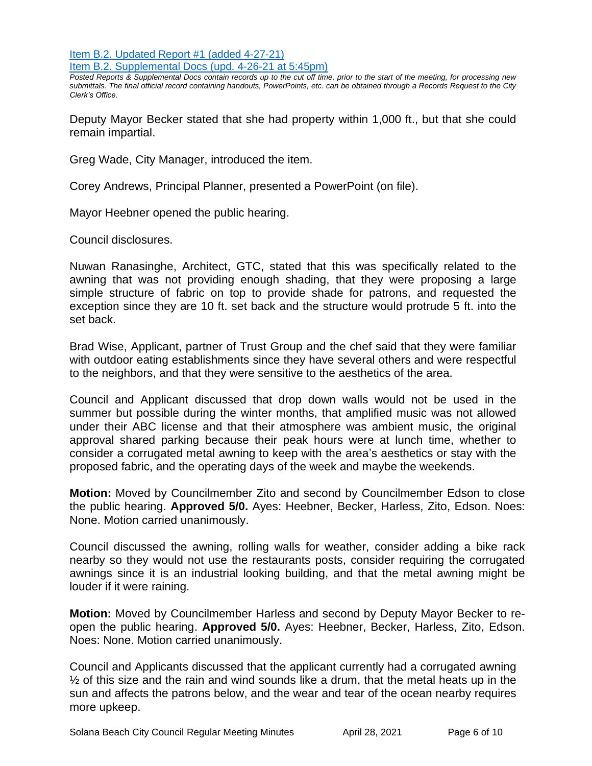[Item B.2. Updated Report](https://solanabeach.govoffice3.com/vertical/Sites/%7B840804C2-F869-4904-9AE3-720581350CE7%7D/uploads/Item_B.2._Updated_Report_1_-_O.pdf) #1 (added 4-27-21)

[Item B.2. Supplemental Docs \(upd.](https://solanabeach.govoffice3.com/vertical/Sites/%7B840804C2-F869-4904-9AE3-720581350CE7%7D/uploads/Item_B.2._Supplemental_Docs_(upd._4-26)_-_O.pdf) 4-26-21 at 5:45pm)

*Posted Reports & Supplemental Docs contain records up to the cut off time, prior to the start of the meeting, for processing new submittals. The final official record containing handouts, PowerPoints, etc. can be obtained through a Records Request to the City Clerk's Office.*

Deputy Mayor Becker stated that she had property within 1,000 ft., but that she could remain impartial.

Greg Wade, City Manager, introduced the item.

Corey Andrews, Principal Planner, presented a PowerPoint (on file).

Mayor Heebner opened the public hearing.

Council disclosures.

Nuwan Ranasinghe, Architect, GTC, stated that this was specifically related to the awning that was not providing enough shading, that they were proposing a large simple structure of fabric on top to provide shade for patrons, and requested the exception since they are 10 ft. set back and the structure would protrude 5 ft. into the set back.

Brad Wise, Applicant, partner of Trust Group and the chef said that they were familiar with outdoor eating establishments since they have several others and were respectful to the neighbors, and that they were sensitive to the aesthetics of the area.

Council and Applicant discussed that drop down walls would not be used in the summer but possible during the winter months, that amplified music was not allowed under their ABC license and that their atmosphere was ambient music, the original approval shared parking because their peak hours were at lunch time, whether to consider a corrugated metal awning to keep with the area's aesthetics or stay with the proposed fabric, and the operating days of the week and maybe the weekends.

**Motion:** Moved by Councilmember Zito and second by Councilmember Edson to close the public hearing. **Approved 5/0.** Ayes: Heebner, Becker, Harless, Zito, Edson. Noes: None. Motion carried unanimously.

Council discussed the awning, rolling walls for weather, consider adding a bike rack nearby so they would not use the restaurants posts, consider requiring the corrugated awnings since it is an industrial looking building, and that the metal awning might be louder if it were raining.

**Motion:** Moved by Councilmember Harless and second by Deputy Mayor Becker to reopen the public hearing. **Approved 5/0.** Ayes: Heebner, Becker, Harless, Zito, Edson. Noes: None. Motion carried unanimously.

Council and Applicants discussed that the applicant currently had a corrugated awning  $\frac{1}{2}$  of this size and the rain and wind sounds like a drum, that the metal heats up in the sun and affects the patrons below, and the wear and tear of the ocean nearby requires more upkeep.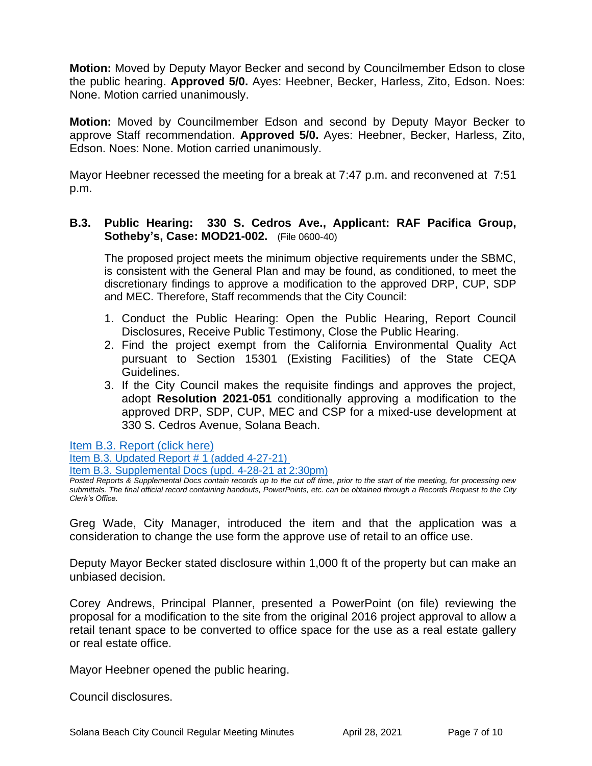**Motion:** Moved by Deputy Mayor Becker and second by Councilmember Edson to close the public hearing. **Approved 5/0.** Ayes: Heebner, Becker, Harless, Zito, Edson. Noes: None. Motion carried unanimously.

**Motion:** Moved by Councilmember Edson and second by Deputy Mayor Becker to approve Staff recommendation. **Approved 5/0.** Ayes: Heebner, Becker, Harless, Zito, Edson. Noes: None. Motion carried unanimously.

Mayor Heebner recessed the meeting for a break at 7:47 p.m. and reconvened at 7:51 p.m.

# **B.3. Public Hearing: 330 S. Cedros Ave., Applicant: RAF Pacifica Group, Sotheby's, Case: MOD21-002.** (File 0600-40)

The proposed project meets the minimum objective requirements under the SBMC, is consistent with the General Plan and may be found, as conditioned, to meet the discretionary findings to approve a modification to the approved DRP, CUP, SDP and MEC. Therefore, Staff recommends that the City Council:

- 1. Conduct the Public Hearing: Open the Public Hearing, Report Council Disclosures, Receive Public Testimony, Close the Public Hearing.
- 2. Find the project exempt from the California Environmental Quality Act pursuant to Section 15301 (Existing Facilities) of the State CEQA Guidelines.
- 3. If the City Council makes the requisite findings and approves the project, adopt **Resolution 2021-051** conditionally approving a modification to the approved DRP, SDP, CUP, MEC and CSP for a mixed-use development at 330 S. Cedros Avenue, Solana Beach.

[Item B.3. Report \(click here\)](https://solanabeach.govoffice3.com/vertical/Sites/%7B840804C2-F869-4904-9AE3-720581350CE7%7D/uploads/Item_B.3._Report_(click_here)_4-28-21-O.pdf)

[Item B.3. Updated Report](https://solanabeach.govoffice3.com/vertical/Sites/%7B840804C2-F869-4904-9AE3-720581350CE7%7D/uploads/Item_B.3._Updated_Report_1.pdf) # 1 (added 4-27-21)

[Item B.3. Supplemental Docs \(upd. 4-28-21 at 2:30pm\)](https://solanabeach.govoffice3.com/vertical/Sites/%7B840804C2-F869-4904-9AE3-720581350CE7%7D/uploads/Item_B.3._Supplemental_Docs_(4-28_at_230pm)_-_O.pdf)

*Posted Reports & Supplemental Docs contain records up to the cut off time, prior to the start of the meeting, for processing new submittals. The final official record containing handouts, PowerPoints, etc. can be obtained through a Records Request to the City Clerk's Office.*

Greg Wade, City Manager, introduced the item and that the application was a consideration to change the use form the approve use of retail to an office use.

Deputy Mayor Becker stated disclosure within 1,000 ft of the property but can make an unbiased decision.

Corey Andrews, Principal Planner, presented a PowerPoint (on file) reviewing the proposal for a modification to the site from the original 2016 project approval to allow a retail tenant space to be converted to office space for the use as a real estate gallery or real estate office.

Mayor Heebner opened the public hearing.

Council disclosures.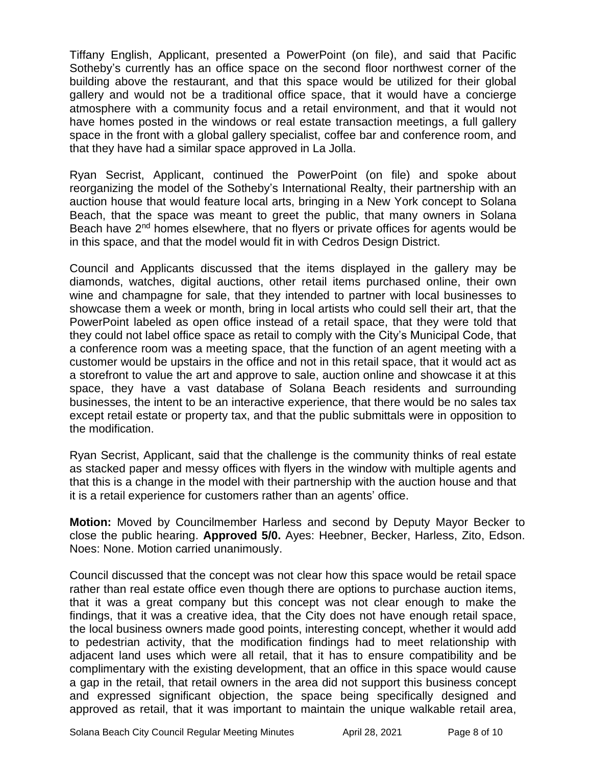Tiffany English, Applicant, presented a PowerPoint (on file), and said that Pacific Sotheby's currently has an office space on the second floor northwest corner of the building above the restaurant, and that this space would be utilized for their global gallery and would not be a traditional office space, that it would have a concierge atmosphere with a community focus and a retail environment, and that it would not have homes posted in the windows or real estate transaction meetings, a full gallery space in the front with a global gallery specialist, coffee bar and conference room, and that they have had a similar space approved in La Jolla.

Ryan Secrist, Applicant, continued the PowerPoint (on file) and spoke about reorganizing the model of the Sotheby's International Realty, their partnership with an auction house that would feature local arts, bringing in a New York concept to Solana Beach, that the space was meant to greet the public, that many owners in Solana Beach have  $2<sup>nd</sup>$  homes elsewhere, that no flyers or private offices for agents would be in this space, and that the model would fit in with Cedros Design District.

Council and Applicants discussed that the items displayed in the gallery may be diamonds, watches, digital auctions, other retail items purchased online, their own wine and champagne for sale, that they intended to partner with local businesses to showcase them a week or month, bring in local artists who could sell their art, that the PowerPoint labeled as open office instead of a retail space, that they were told that they could not label office space as retail to comply with the City's Municipal Code, that a conference room was a meeting space, that the function of an agent meeting with a customer would be upstairs in the office and not in this retail space, that it would act as a storefront to value the art and approve to sale, auction online and showcase it at this space, they have a vast database of Solana Beach residents and surrounding businesses, the intent to be an interactive experience, that there would be no sales tax except retail estate or property tax, and that the public submittals were in opposition to the modification.

Ryan Secrist, Applicant, said that the challenge is the community thinks of real estate as stacked paper and messy offices with flyers in the window with multiple agents and that this is a change in the model with their partnership with the auction house and that it is a retail experience for customers rather than an agents' office.

**Motion:** Moved by Councilmember Harless and second by Deputy Mayor Becker to close the public hearing. **Approved 5/0.** Ayes: Heebner, Becker, Harless, Zito, Edson. Noes: None. Motion carried unanimously.

Council discussed that the concept was not clear how this space would be retail space rather than real estate office even though there are options to purchase auction items, that it was a great company but this concept was not clear enough to make the findings, that it was a creative idea, that the City does not have enough retail space, the local business owners made good points, interesting concept, whether it would add to pedestrian activity, that the modification findings had to meet relationship with adjacent land uses which were all retail, that it has to ensure compatibility and be complimentary with the existing development, that an office in this space would cause a gap in the retail, that retail owners in the area did not support this business concept and expressed significant objection, the space being specifically designed and approved as retail, that it was important to maintain the unique walkable retail area,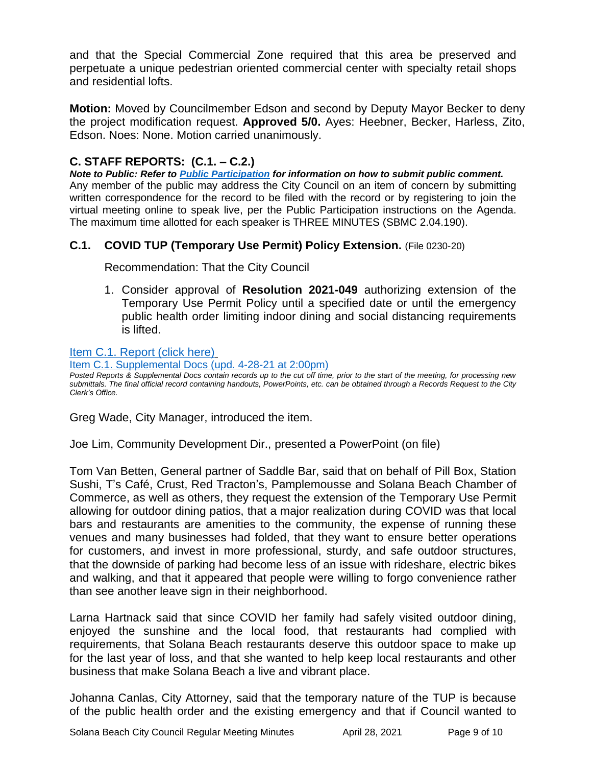and that the Special Commercial Zone required that this area be preserved and perpetuate a unique pedestrian oriented commercial center with specialty retail shops and residential lofts.

**Motion:** Moved by Councilmember Edson and second by Deputy Mayor Becker to deny the project modification request. **Approved 5/0.** Ayes: Heebner, Becker, Harless, Zito, Edson. Noes: None. Motion carried unanimously.

# **C. STAFF REPORTS: (C.1. – C.2.)**

*Note to Public: Refer to Public Participation for information on how to submit public comment.*  Any member of the public may address the City Council on an item of concern by submitting written correspondence for the record to be filed with the record or by registering to join the virtual meeting online to speak live, per the Public Participation instructions on the Agenda. The maximum time allotted for each speaker is THREE MINUTES (SBMC 2.04.190).

# **C.1. COVID TUP (Temporary Use Permit) Policy Extension.** (File 0230-20)

Recommendation: That the City Council

1. Consider approval of **Resolution 2021-049** authorizing extension of the Temporary Use Permit Policy until a specified date or until the emergency public health order limiting indoor dining and social distancing requirements is lifted.

[Item C.1. Report \(click here\)](https://solanabeach.govoffice3.com/vertical/Sites/%7B840804C2-F869-4904-9AE3-720581350CE7%7D/uploads/Item_C.1._Report_(click_here)_4-28-21-O.pdf)

[Item C.1. Supplemental Docs \(upd. 4-28-21 at 2:00pm\)](https://solanabeach.govoffice3.com/vertical/Sites/%7B840804C2-F869-4904-9AE3-720581350CE7%7D/uploads/Item_C.1._Supplemental_Docs_(Upd._4-28-21_at_146pm)_-_O.pdf)

*Posted Reports & Supplemental Docs contain records up to the cut off time, prior to the start of the meeting, for processing new submittals. The final official record containing handouts, PowerPoints, etc. can be obtained through a Records Request to the City Clerk's Office.*

Greg Wade, City Manager, introduced the item.

Joe Lim, Community Development Dir., presented a PowerPoint (on file)

Tom Van Betten, General partner of Saddle Bar, said that on behalf of Pill Box, Station Sushi, T's Café, Crust, Red Tracton's, Pamplemousse and Solana Beach Chamber of Commerce, as well as others, they request the extension of the Temporary Use Permit allowing for outdoor dining patios, that a major realization during COVID was that local bars and restaurants are amenities to the community, the expense of running these venues and many businesses had folded, that they want to ensure better operations for customers, and invest in more professional, sturdy, and safe outdoor structures, that the downside of parking had become less of an issue with rideshare, electric bikes and walking, and that it appeared that people were willing to forgo convenience rather than see another leave sign in their neighborhood.

Larna Hartnack said that since COVID her family had safely visited outdoor dining, enjoyed the sunshine and the local food, that restaurants had complied with requirements, that Solana Beach restaurants deserve this outdoor space to make up for the last year of loss, and that she wanted to help keep local restaurants and other business that make Solana Beach a live and vibrant place.

Johanna Canlas, City Attorney, said that the temporary nature of the TUP is because of the public health order and the existing emergency and that if Council wanted to